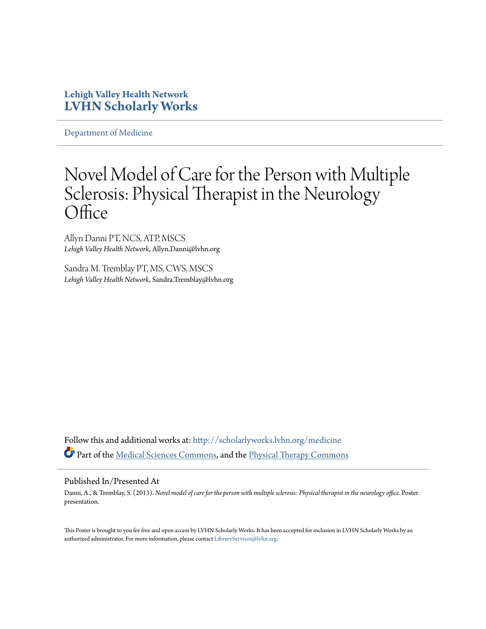#### **Lehigh Valley Health Network [LVHN Scholarly Works](http://scholarlyworks.lvhn.org?utm_source=scholarlyworks.lvhn.org%2Fmedicine%2F353&utm_medium=PDF&utm_campaign=PDFCoverPages)**

[Department of Medicine](http://scholarlyworks.lvhn.org/medicine?utm_source=scholarlyworks.lvhn.org%2Fmedicine%2F353&utm_medium=PDF&utm_campaign=PDFCoverPages)

#### Novel Model of Care for the Person with Multiple Sclerosis: Physical Therapist in the Neurology **Office**

Allyn Danni PT, NCS, ATP, MSCS *Lehigh Valley Health Network*, Allyn.Danni@lvhn.org

Sandra M. Tremblay PT, MS, CWS, MSCS *Lehigh Valley Health Network*, Sandra.Tremblay@lvhn.org

Follow this and additional works at: [http://scholarlyworks.lvhn.org/medicine](http://scholarlyworks.lvhn.org/medicine?utm_source=scholarlyworks.lvhn.org%2Fmedicine%2F353&utm_medium=PDF&utm_campaign=PDFCoverPages) Part of the [Medical Sciences Commons,](http://network.bepress.com/hgg/discipline/664?utm_source=scholarlyworks.lvhn.org%2Fmedicine%2F353&utm_medium=PDF&utm_campaign=PDFCoverPages) and the [Physical Therapy Commons](http://network.bepress.com/hgg/discipline/754?utm_source=scholarlyworks.lvhn.org%2Fmedicine%2F353&utm_medium=PDF&utm_campaign=PDFCoverPages)

#### Published In/Presented At

Danni, A., & Tremblay, S. (2013). *Novel model of care for the person with multiple sclerosis: Physical therapist in the neurology office.* Poster presentation.

This Poster is brought to you for free and open access by LVHN Scholarly Works. It has been accepted for inclusion in LVHN Scholarly Works by an authorized administrator. For more information, please contact [LibraryServices@lvhn.org.](mailto:LibraryServices@lvhn.org)